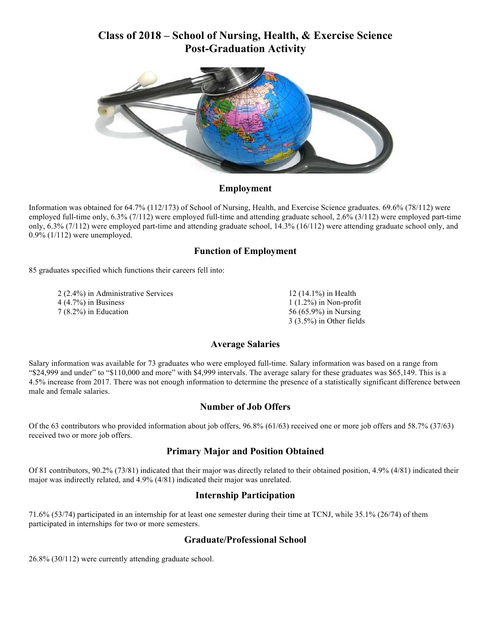## **Class of 2018 – School of Nursing, Health, & Exercise Science Post-Graduation Activity**



#### **Employment**

Information was obtained for 64.7% (112/173) of School of Nursing, Health, and Exercise Science graduates. 69.6% (78/112) were employed full-time only, 6.3% (7/112) were employed full-time and attending graduate school, 2.6% (3/112) were employed part-time only, 6.3% (7/112) were employed part-time and attending graduate school, 14.3% (16/112) were attending graduate school only, and 0.9% (1/112) were unemployed.

#### **Function of Employment**

85 graduates specified which functions their careers fell into:

 2 (2.4%) in Administrative Services 4 (4.7%) in Business 7 (8.2%) in Education

 (14.1%) in Health (1.2%) in Non-profit (65.9%) in Nursing 3 (3.5%) in Other fields

#### **Average Salaries**

Salary information was available for 73 graduates who were employed full-time. Salary information was based on a range from "\$24,999 and under" to "\$110,000 and more" with \$4,999 intervals. The average salary for these graduates was \$65,149. This is a 4.5% increase from 2017. There was not enough information to determine the presence of a statistically significant difference between male and female salaries.

#### **Number of Job Offers**

Of the 63 contributors who provided information about job offers, 96.8% (61/63) received one or more job offers and 58.7% (37/63) received two or more job offers.

#### **Primary Major and Position Obtained**

Of 81 contributors, 90.2% (73/81) indicated that their major was directly related to their obtained position, 4.9% (4/81) indicated their major was indirectly related, and 4.9% (4/81) indicated their major was unrelated.

#### **Internship Participation**

71.6% (53/74) participated in an internship for at least one semester during their time at TCNJ, while 35.1% (26/74) of them participated in internships for two or more semesters.

#### **Graduate/Professional School**

26.8% (30/112) were currently attending graduate school.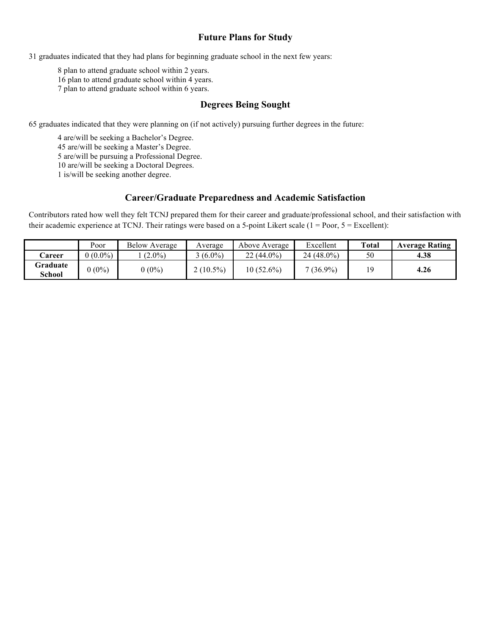#### **Future Plans for Study**

31 graduates indicated that they had plans for beginning graduate school in the next few years:

8 plan to attend graduate school within 2 years. 16 plan to attend graduate school within 4 years. 7 plan to attend graduate school within 6 years.

#### **Degrees Being Sought**

65 graduates indicated that they were planning on (if not actively) pursuing further degrees in the future:

 are/will be seeking a Bachelor's Degree. are/will be seeking a Master's Degree. are/will be pursuing a Professional Degree. are/will be seeking a Doctoral Degrees. 1 is/will be seeking another degree.

#### **Career/Graduate Preparedness and Academic Satisfaction**

Contributors rated how well they felt TCNJ prepared them for their career and graduate/professional school, and their satisfaction with their academic experience at TCNJ. Their ratings were based on a 5-point Likert scale  $(1 = Poor, 5 = Execllen)$ :

|                    | Poor       | <b>Below Average</b> | Average     | Above Average | Excellent   | Total | <b>Average Rating</b> |
|--------------------|------------|----------------------|-------------|---------------|-------------|-------|-----------------------|
| <b>Career</b>      | $2(0.0\%)$ | $(2.0\%)$            | $(6.0\%)$   | $22(44.0\%)$  | 24 (48.0%)  | 50    | 4.38                  |
| Graduate<br>School | $0(0\%)$   | $(0\%)$              | $2(10.5\%)$ | $10(52.6\%)$  | $7(36.9\%)$ |       | 4.26                  |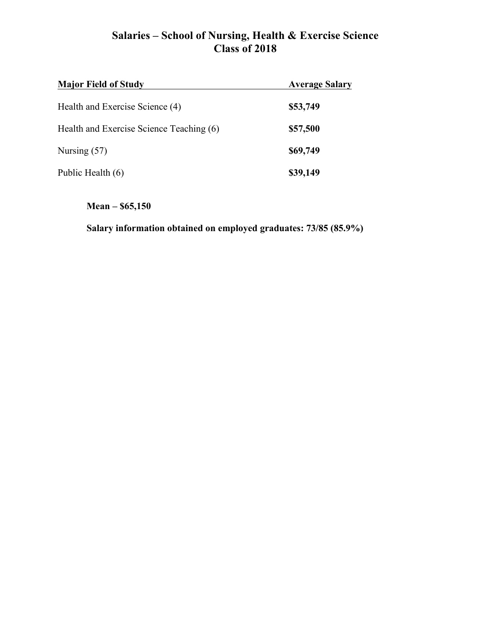# **Salaries – School of Nursing, Health & Exercise Science Class of 2018**

| <b>Major Field of Study</b>              | <b>Average Salary</b> |
|------------------------------------------|-----------------------|
| Health and Exercise Science (4)          | \$53,749              |
| Health and Exercise Science Teaching (6) | \$57,500              |
| Nursing $(57)$                           | \$69,749              |
| Public Health (6)                        | \$39,149              |

## **Mean – \$65,150**

**Salary information obtained on employed graduates: 73/85 (85.9%)**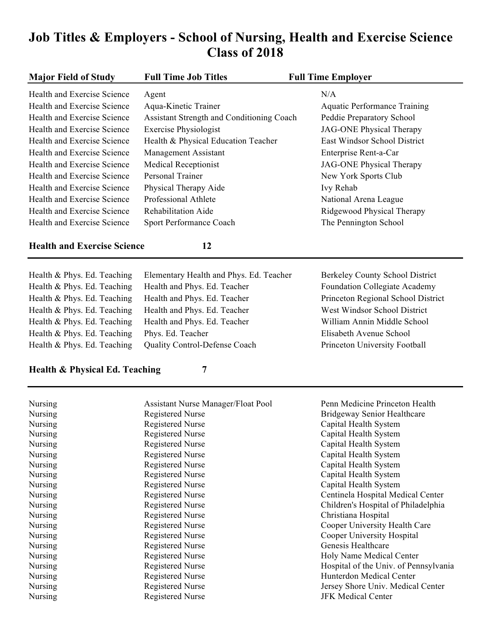# **Job Titles & Employers - School of Nursing, Health and Exercise Science Class of 2018**

| <b>Major Field of Study</b>        | <b>Full Time Job Titles</b>                        | <b>Full Time Employer</b>                                  |
|------------------------------------|----------------------------------------------------|------------------------------------------------------------|
| Health and Exercise Science        | Agent                                              | N/A                                                        |
| Health and Exercise Science        | Aqua-Kinetic Trainer                               | <b>Aquatic Performance Training</b>                        |
| Health and Exercise Science        | Assistant Strength and Conditioning Coach          | Peddie Preparatory School                                  |
| Health and Exercise Science        | <b>Exercise Physiologist</b>                       | <b>JAG-ONE Physical Therapy</b>                            |
| Health and Exercise Science        | Health & Physical Education Teacher                | East Windsor School District                               |
| Health and Exercise Science        | Management Assistant                               | Enterprise Rent-a-Car                                      |
| Health and Exercise Science        | <b>Medical Receptionist</b>                        | <b>JAG-ONE Physical Therapy</b>                            |
| Health and Exercise Science        | Personal Trainer                                   | New York Sports Club                                       |
| Health and Exercise Science        | Physical Therapy Aide                              | Ivy Rehab                                                  |
| Health and Exercise Science        | Professional Athlete                               | National Arena League                                      |
| Health and Exercise Science        | <b>Rehabilitation Aide</b>                         | Ridgewood Physical Therapy                                 |
| Health and Exercise Science        | Sport Performance Coach                            | The Pennington School                                      |
| <b>Health and Exercise Science</b> | 12                                                 |                                                            |
| Health & Phys. Ed. Teaching        | Elementary Health and Phys. Ed. Teacher            | Berkeley County School District                            |
| Health & Phys. Ed. Teaching        | Health and Phys. Ed. Teacher                       | Foundation Collegiate Academy                              |
| Health & Phys. Ed. Teaching        | Health and Phys. Ed. Teacher                       | Princeton Regional School District                         |
| Health & Phys. Ed. Teaching        | Health and Phys. Ed. Teacher                       | West Windsor School District                               |
| Health & Phys. Ed. Teaching        | Health and Phys. Ed. Teacher                       | William Annin Middle School                                |
| Health & Phys. Ed. Teaching        |                                                    | Elisabeth Avenue School                                    |
| Health & Phys. Ed. Teaching        | Phys. Ed. Teacher<br>Quality Control-Defense Coach | Princeton University Football                              |
|                                    |                                                    |                                                            |
| Health & Physical Ed. Teaching     | 7                                                  |                                                            |
| Nursing                            | Assistant Nurse Manager/Float Pool                 | Penn Medicine Princeton Health                             |
| Nursing                            | <b>Registered Nurse</b>                            | Bridgeway Senior Healthcare                                |
| Nursing                            | <b>Registered Nurse</b>                            | Capital Health System                                      |
| Nursing                            | <b>Registered Nurse</b>                            | Capital Health System                                      |
| Nursing                            | <b>Registered Nurse</b>                            | Capital Health System                                      |
| Nursing                            | <b>Registered Nurse</b>                            | Capital Health System                                      |
| Nursing                            | <b>Registered Nurse</b>                            | Capital Health System                                      |
| Nursing                            | <b>Registered Nurse</b><br>Registered Nurse        | Capital Health System                                      |
| Nursing<br>Nursing                 | <b>Registered Nurse</b>                            | Capital Health System<br>Centinela Hospital Medical Center |
| Nursing                            | <b>Registered Nurse</b>                            | Children's Hospital of Philadelphia                        |
| Nursing                            | <b>Registered Nurse</b>                            | Christiana Hospital                                        |

Nursing Registered Nurse Cooper University Health Care<br>
Registered Nurse Cooper University Hospital<br>
Cooper University Hospital Nursing Registered Nurse Cooper University Hospital Nursing Registered Nurse Genesis Healthcare Nursing Registered Nurse Holy Name Medical Center Nursing Registered Nurse Hospital of the Univ. of Pennsylvania Nursing Registered Nurse Hunterdon Medical Center Nursing Registered Nurse Jersey Shore Univ. Medical Center Nursing Registered Nurse JFK Medical Center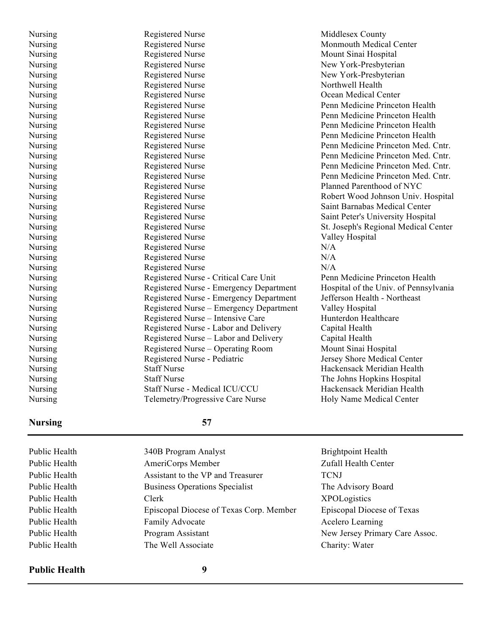| Monmouth Medical Center<br><b>Registered Nurse</b><br>Nursing<br><b>Registered Nurse</b><br>Mount Sinai Hospital<br>Nursing<br><b>Registered Nurse</b><br>Nursing<br>New York-Presbyterian<br><b>Registered Nurse</b><br>New York-Presbyterian<br>Nursing<br><b>Registered Nurse</b><br>Northwell Health<br>Nursing<br><b>Registered Nurse</b><br>Ocean Medical Center<br>Nursing<br><b>Registered Nurse</b><br>Penn Medicine Princeton Health<br>Nursing<br><b>Registered Nurse</b><br>Penn Medicine Princeton Health<br>Nursing<br><b>Registered Nurse</b><br>Nursing<br>Penn Medicine Princeton Health<br><b>Registered Nurse</b><br>Nursing<br>Penn Medicine Princeton Health<br><b>Registered Nurse</b><br>Nursing<br>Penn Medicine Princeton Med. Cntr.<br><b>Registered Nurse</b><br>Penn Medicine Princeton Med. Cntr.<br>Nursing<br><b>Registered Nurse</b><br>Penn Medicine Princeton Med. Cntr.<br>Nursing<br><b>Registered Nurse</b><br>Penn Medicine Princeton Med. Cntr.<br>Nursing<br><b>Registered Nurse</b><br>Planned Parenthood of NYC<br>Nursing<br><b>Registered Nurse</b><br>Nursing<br>Robert Wood Johnson Univ. Hospital<br><b>Registered Nurse</b><br>Nursing<br>Saint Barnabas Medical Center<br><b>Registered Nurse</b><br>Saint Peter's University Hospital<br>Nursing<br><b>Registered Nurse</b><br>Nursing<br>St. Joseph's Regional Medical Center<br><b>Registered Nurse</b><br>Nursing<br>Valley Hospital<br><b>Registered Nurse</b><br>N/A<br>Nursing<br><b>Registered Nurse</b><br>N/A<br>Nursing<br><b>Registered Nurse</b><br>N/A<br>Nursing<br>Nursing<br>Registered Nurse - Critical Care Unit<br>Penn Medicine Princeton Health<br>Hospital of the Univ. of Pennsylvania<br>Nursing<br>Registered Nurse - Emergency Department<br>Registered Nurse - Emergency Department<br>Jefferson Health - Northeast<br>Nursing<br>Valley Hospital<br>Nursing<br>Registered Nurse – Emergency Department<br>Nursing<br>Registered Nurse - Intensive Care<br>Hunterdon Healthcare<br>Capital Health<br>Nursing<br>Registered Nurse - Labor and Delivery<br>Registered Nurse - Labor and Delivery<br>Capital Health<br>Nursing<br>Registered Nurse - Operating Room<br>Mount Sinai Hospital<br>Nursing<br>Registered Nurse - Pediatric<br>Jersey Shore Medical Center<br>Nursing<br><b>Staff Nurse</b><br>Nursing<br>Hackensack Meridian Health<br><b>Staff Nurse</b><br>Nursing<br>The Johns Hopkins Hospital<br>Nursing<br>Staff Nurse - Medical ICU/CCU<br>Hackensack Meridian Health<br>Nursing<br>Telemetry/Progressive Care Nurse<br>Holy Name Medical Center | Nursing | <b>Registered Nurse</b> | Middlesex County |
|-----------------------------------------------------------------------------------------------------------------------------------------------------------------------------------------------------------------------------------------------------------------------------------------------------------------------------------------------------------------------------------------------------------------------------------------------------------------------------------------------------------------------------------------------------------------------------------------------------------------------------------------------------------------------------------------------------------------------------------------------------------------------------------------------------------------------------------------------------------------------------------------------------------------------------------------------------------------------------------------------------------------------------------------------------------------------------------------------------------------------------------------------------------------------------------------------------------------------------------------------------------------------------------------------------------------------------------------------------------------------------------------------------------------------------------------------------------------------------------------------------------------------------------------------------------------------------------------------------------------------------------------------------------------------------------------------------------------------------------------------------------------------------------------------------------------------------------------------------------------------------------------------------------------------------------------------------------------------------------------------------------------------------------------------------------------------------------------------------------------------------------------------------------------------------------------------------------------------------------------------------------------------------------------------------------------------------------------------------------------------------------------------------------------------------------------------------------------------------------------------------------------------------------------------------------------------------------------------|---------|-------------------------|------------------|
|                                                                                                                                                                                                                                                                                                                                                                                                                                                                                                                                                                                                                                                                                                                                                                                                                                                                                                                                                                                                                                                                                                                                                                                                                                                                                                                                                                                                                                                                                                                                                                                                                                                                                                                                                                                                                                                                                                                                                                                                                                                                                                                                                                                                                                                                                                                                                                                                                                                                                                                                                                                               |         |                         |                  |
|                                                                                                                                                                                                                                                                                                                                                                                                                                                                                                                                                                                                                                                                                                                                                                                                                                                                                                                                                                                                                                                                                                                                                                                                                                                                                                                                                                                                                                                                                                                                                                                                                                                                                                                                                                                                                                                                                                                                                                                                                                                                                                                                                                                                                                                                                                                                                                                                                                                                                                                                                                                               |         |                         |                  |
|                                                                                                                                                                                                                                                                                                                                                                                                                                                                                                                                                                                                                                                                                                                                                                                                                                                                                                                                                                                                                                                                                                                                                                                                                                                                                                                                                                                                                                                                                                                                                                                                                                                                                                                                                                                                                                                                                                                                                                                                                                                                                                                                                                                                                                                                                                                                                                                                                                                                                                                                                                                               |         |                         |                  |
|                                                                                                                                                                                                                                                                                                                                                                                                                                                                                                                                                                                                                                                                                                                                                                                                                                                                                                                                                                                                                                                                                                                                                                                                                                                                                                                                                                                                                                                                                                                                                                                                                                                                                                                                                                                                                                                                                                                                                                                                                                                                                                                                                                                                                                                                                                                                                                                                                                                                                                                                                                                               |         |                         |                  |
|                                                                                                                                                                                                                                                                                                                                                                                                                                                                                                                                                                                                                                                                                                                                                                                                                                                                                                                                                                                                                                                                                                                                                                                                                                                                                                                                                                                                                                                                                                                                                                                                                                                                                                                                                                                                                                                                                                                                                                                                                                                                                                                                                                                                                                                                                                                                                                                                                                                                                                                                                                                               |         |                         |                  |
|                                                                                                                                                                                                                                                                                                                                                                                                                                                                                                                                                                                                                                                                                                                                                                                                                                                                                                                                                                                                                                                                                                                                                                                                                                                                                                                                                                                                                                                                                                                                                                                                                                                                                                                                                                                                                                                                                                                                                                                                                                                                                                                                                                                                                                                                                                                                                                                                                                                                                                                                                                                               |         |                         |                  |
|                                                                                                                                                                                                                                                                                                                                                                                                                                                                                                                                                                                                                                                                                                                                                                                                                                                                                                                                                                                                                                                                                                                                                                                                                                                                                                                                                                                                                                                                                                                                                                                                                                                                                                                                                                                                                                                                                                                                                                                                                                                                                                                                                                                                                                                                                                                                                                                                                                                                                                                                                                                               |         |                         |                  |
|                                                                                                                                                                                                                                                                                                                                                                                                                                                                                                                                                                                                                                                                                                                                                                                                                                                                                                                                                                                                                                                                                                                                                                                                                                                                                                                                                                                                                                                                                                                                                                                                                                                                                                                                                                                                                                                                                                                                                                                                                                                                                                                                                                                                                                                                                                                                                                                                                                                                                                                                                                                               |         |                         |                  |
|                                                                                                                                                                                                                                                                                                                                                                                                                                                                                                                                                                                                                                                                                                                                                                                                                                                                                                                                                                                                                                                                                                                                                                                                                                                                                                                                                                                                                                                                                                                                                                                                                                                                                                                                                                                                                                                                                                                                                                                                                                                                                                                                                                                                                                                                                                                                                                                                                                                                                                                                                                                               |         |                         |                  |
|                                                                                                                                                                                                                                                                                                                                                                                                                                                                                                                                                                                                                                                                                                                                                                                                                                                                                                                                                                                                                                                                                                                                                                                                                                                                                                                                                                                                                                                                                                                                                                                                                                                                                                                                                                                                                                                                                                                                                                                                                                                                                                                                                                                                                                                                                                                                                                                                                                                                                                                                                                                               |         |                         |                  |
|                                                                                                                                                                                                                                                                                                                                                                                                                                                                                                                                                                                                                                                                                                                                                                                                                                                                                                                                                                                                                                                                                                                                                                                                                                                                                                                                                                                                                                                                                                                                                                                                                                                                                                                                                                                                                                                                                                                                                                                                                                                                                                                                                                                                                                                                                                                                                                                                                                                                                                                                                                                               |         |                         |                  |
|                                                                                                                                                                                                                                                                                                                                                                                                                                                                                                                                                                                                                                                                                                                                                                                                                                                                                                                                                                                                                                                                                                                                                                                                                                                                                                                                                                                                                                                                                                                                                                                                                                                                                                                                                                                                                                                                                                                                                                                                                                                                                                                                                                                                                                                                                                                                                                                                                                                                                                                                                                                               |         |                         |                  |
|                                                                                                                                                                                                                                                                                                                                                                                                                                                                                                                                                                                                                                                                                                                                                                                                                                                                                                                                                                                                                                                                                                                                                                                                                                                                                                                                                                                                                                                                                                                                                                                                                                                                                                                                                                                                                                                                                                                                                                                                                                                                                                                                                                                                                                                                                                                                                                                                                                                                                                                                                                                               |         |                         |                  |
|                                                                                                                                                                                                                                                                                                                                                                                                                                                                                                                                                                                                                                                                                                                                                                                                                                                                                                                                                                                                                                                                                                                                                                                                                                                                                                                                                                                                                                                                                                                                                                                                                                                                                                                                                                                                                                                                                                                                                                                                                                                                                                                                                                                                                                                                                                                                                                                                                                                                                                                                                                                               |         |                         |                  |
|                                                                                                                                                                                                                                                                                                                                                                                                                                                                                                                                                                                                                                                                                                                                                                                                                                                                                                                                                                                                                                                                                                                                                                                                                                                                                                                                                                                                                                                                                                                                                                                                                                                                                                                                                                                                                                                                                                                                                                                                                                                                                                                                                                                                                                                                                                                                                                                                                                                                                                                                                                                               |         |                         |                  |
|                                                                                                                                                                                                                                                                                                                                                                                                                                                                                                                                                                                                                                                                                                                                                                                                                                                                                                                                                                                                                                                                                                                                                                                                                                                                                                                                                                                                                                                                                                                                                                                                                                                                                                                                                                                                                                                                                                                                                                                                                                                                                                                                                                                                                                                                                                                                                                                                                                                                                                                                                                                               |         |                         |                  |
|                                                                                                                                                                                                                                                                                                                                                                                                                                                                                                                                                                                                                                                                                                                                                                                                                                                                                                                                                                                                                                                                                                                                                                                                                                                                                                                                                                                                                                                                                                                                                                                                                                                                                                                                                                                                                                                                                                                                                                                                                                                                                                                                                                                                                                                                                                                                                                                                                                                                                                                                                                                               |         |                         |                  |
|                                                                                                                                                                                                                                                                                                                                                                                                                                                                                                                                                                                                                                                                                                                                                                                                                                                                                                                                                                                                                                                                                                                                                                                                                                                                                                                                                                                                                                                                                                                                                                                                                                                                                                                                                                                                                                                                                                                                                                                                                                                                                                                                                                                                                                                                                                                                                                                                                                                                                                                                                                                               |         |                         |                  |
|                                                                                                                                                                                                                                                                                                                                                                                                                                                                                                                                                                                                                                                                                                                                                                                                                                                                                                                                                                                                                                                                                                                                                                                                                                                                                                                                                                                                                                                                                                                                                                                                                                                                                                                                                                                                                                                                                                                                                                                                                                                                                                                                                                                                                                                                                                                                                                                                                                                                                                                                                                                               |         |                         |                  |
|                                                                                                                                                                                                                                                                                                                                                                                                                                                                                                                                                                                                                                                                                                                                                                                                                                                                                                                                                                                                                                                                                                                                                                                                                                                                                                                                                                                                                                                                                                                                                                                                                                                                                                                                                                                                                                                                                                                                                                                                                                                                                                                                                                                                                                                                                                                                                                                                                                                                                                                                                                                               |         |                         |                  |
|                                                                                                                                                                                                                                                                                                                                                                                                                                                                                                                                                                                                                                                                                                                                                                                                                                                                                                                                                                                                                                                                                                                                                                                                                                                                                                                                                                                                                                                                                                                                                                                                                                                                                                                                                                                                                                                                                                                                                                                                                                                                                                                                                                                                                                                                                                                                                                                                                                                                                                                                                                                               |         |                         |                  |
|                                                                                                                                                                                                                                                                                                                                                                                                                                                                                                                                                                                                                                                                                                                                                                                                                                                                                                                                                                                                                                                                                                                                                                                                                                                                                                                                                                                                                                                                                                                                                                                                                                                                                                                                                                                                                                                                                                                                                                                                                                                                                                                                                                                                                                                                                                                                                                                                                                                                                                                                                                                               |         |                         |                  |
|                                                                                                                                                                                                                                                                                                                                                                                                                                                                                                                                                                                                                                                                                                                                                                                                                                                                                                                                                                                                                                                                                                                                                                                                                                                                                                                                                                                                                                                                                                                                                                                                                                                                                                                                                                                                                                                                                                                                                                                                                                                                                                                                                                                                                                                                                                                                                                                                                                                                                                                                                                                               |         |                         |                  |
|                                                                                                                                                                                                                                                                                                                                                                                                                                                                                                                                                                                                                                                                                                                                                                                                                                                                                                                                                                                                                                                                                                                                                                                                                                                                                                                                                                                                                                                                                                                                                                                                                                                                                                                                                                                                                                                                                                                                                                                                                                                                                                                                                                                                                                                                                                                                                                                                                                                                                                                                                                                               |         |                         |                  |
|                                                                                                                                                                                                                                                                                                                                                                                                                                                                                                                                                                                                                                                                                                                                                                                                                                                                                                                                                                                                                                                                                                                                                                                                                                                                                                                                                                                                                                                                                                                                                                                                                                                                                                                                                                                                                                                                                                                                                                                                                                                                                                                                                                                                                                                                                                                                                                                                                                                                                                                                                                                               |         |                         |                  |
|                                                                                                                                                                                                                                                                                                                                                                                                                                                                                                                                                                                                                                                                                                                                                                                                                                                                                                                                                                                                                                                                                                                                                                                                                                                                                                                                                                                                                                                                                                                                                                                                                                                                                                                                                                                                                                                                                                                                                                                                                                                                                                                                                                                                                                                                                                                                                                                                                                                                                                                                                                                               |         |                         |                  |
|                                                                                                                                                                                                                                                                                                                                                                                                                                                                                                                                                                                                                                                                                                                                                                                                                                                                                                                                                                                                                                                                                                                                                                                                                                                                                                                                                                                                                                                                                                                                                                                                                                                                                                                                                                                                                                                                                                                                                                                                                                                                                                                                                                                                                                                                                                                                                                                                                                                                                                                                                                                               |         |                         |                  |
|                                                                                                                                                                                                                                                                                                                                                                                                                                                                                                                                                                                                                                                                                                                                                                                                                                                                                                                                                                                                                                                                                                                                                                                                                                                                                                                                                                                                                                                                                                                                                                                                                                                                                                                                                                                                                                                                                                                                                                                                                                                                                                                                                                                                                                                                                                                                                                                                                                                                                                                                                                                               |         |                         |                  |
|                                                                                                                                                                                                                                                                                                                                                                                                                                                                                                                                                                                                                                                                                                                                                                                                                                                                                                                                                                                                                                                                                                                                                                                                                                                                                                                                                                                                                                                                                                                                                                                                                                                                                                                                                                                                                                                                                                                                                                                                                                                                                                                                                                                                                                                                                                                                                                                                                                                                                                                                                                                               |         |                         |                  |
|                                                                                                                                                                                                                                                                                                                                                                                                                                                                                                                                                                                                                                                                                                                                                                                                                                                                                                                                                                                                                                                                                                                                                                                                                                                                                                                                                                                                                                                                                                                                                                                                                                                                                                                                                                                                                                                                                                                                                                                                                                                                                                                                                                                                                                                                                                                                                                                                                                                                                                                                                                                               |         |                         |                  |
|                                                                                                                                                                                                                                                                                                                                                                                                                                                                                                                                                                                                                                                                                                                                                                                                                                                                                                                                                                                                                                                                                                                                                                                                                                                                                                                                                                                                                                                                                                                                                                                                                                                                                                                                                                                                                                                                                                                                                                                                                                                                                                                                                                                                                                                                                                                                                                                                                                                                                                                                                                                               |         |                         |                  |
|                                                                                                                                                                                                                                                                                                                                                                                                                                                                                                                                                                                                                                                                                                                                                                                                                                                                                                                                                                                                                                                                                                                                                                                                                                                                                                                                                                                                                                                                                                                                                                                                                                                                                                                                                                                                                                                                                                                                                                                                                                                                                                                                                                                                                                                                                                                                                                                                                                                                                                                                                                                               |         |                         |                  |
|                                                                                                                                                                                                                                                                                                                                                                                                                                                                                                                                                                                                                                                                                                                                                                                                                                                                                                                                                                                                                                                                                                                                                                                                                                                                                                                                                                                                                                                                                                                                                                                                                                                                                                                                                                                                                                                                                                                                                                                                                                                                                                                                                                                                                                                                                                                                                                                                                                                                                                                                                                                               |         |                         |                  |
|                                                                                                                                                                                                                                                                                                                                                                                                                                                                                                                                                                                                                                                                                                                                                                                                                                                                                                                                                                                                                                                                                                                                                                                                                                                                                                                                                                                                                                                                                                                                                                                                                                                                                                                                                                                                                                                                                                                                                                                                                                                                                                                                                                                                                                                                                                                                                                                                                                                                                                                                                                                               |         |                         |                  |
|                                                                                                                                                                                                                                                                                                                                                                                                                                                                                                                                                                                                                                                                                                                                                                                                                                                                                                                                                                                                                                                                                                                                                                                                                                                                                                                                                                                                                                                                                                                                                                                                                                                                                                                                                                                                                                                                                                                                                                                                                                                                                                                                                                                                                                                                                                                                                                                                                                                                                                                                                                                               |         |                         |                  |
|                                                                                                                                                                                                                                                                                                                                                                                                                                                                                                                                                                                                                                                                                                                                                                                                                                                                                                                                                                                                                                                                                                                                                                                                                                                                                                                                                                                                                                                                                                                                                                                                                                                                                                                                                                                                                                                                                                                                                                                                                                                                                                                                                                                                                                                                                                                                                                                                                                                                                                                                                                                               |         |                         |                  |

### **Nursing 57**

Public Health 340B Program Analyst Brightpoint Health Public Health Assistant to the VP and Treasurer TCNJ Public Health The Well Associate Charity: Water

Public Health Clerk Clerk XPOLogistics Public Health Episcopal Diocese of Texas Corp. Member Episcopal Diocese of Texas Public Health Family Advocate Acelero Learning

Public Health AmeriCorps Member Zufall Health Center Public Health Business Operations Specialist The Advisory Board Public Health Program Assistant New Jersey Primary Care Assoc.

#### **Public Health 9**